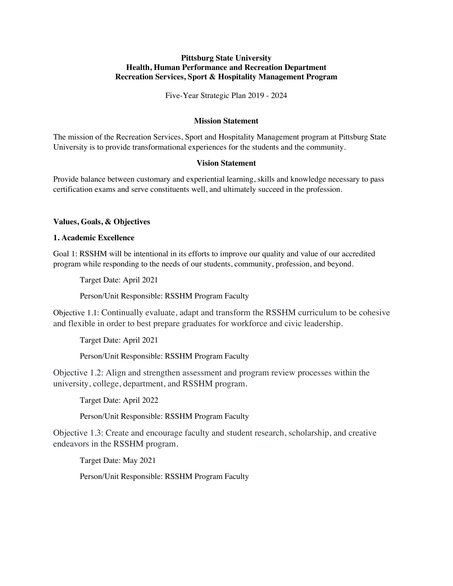# **Pittsburg State University Health, Human Performance and Recreation Department Recreation Services, Sport & Hospitality Management Program**

Five-Year Strategic Plan 2019 - 2024

# **Mission Statement**

The mission of the Recreation Services, Sport and Hospitality Management program at Pittsburg State University is to provide transformational experiences for the students and the community.

# **Vision Statement**

Provide balance between customary and experiential learning, skills and knowledge necessary to pass certification exams and serve constituents well, and ultimately succeed in the profession.

# **Values, Goals, & Objectives**

# **1. Academic Excellence**

Goal 1: RSSHM will be intentional in its efforts to improve our quality and value of our accredited program while responding to the needs of our students, community, profession, and beyond.

Target Date: April 2021

Person/Unit Responsible: RSSHM Program Faculty

Objective 1.1: Continually evaluate, adapt and transform the RSSHM curriculum to be cohesive and flexible in order to best prepare graduates for workforce and civic leadership.

Target Date: April 2021

Person/Unit Responsible: RSSHM Program Faculty

Objective 1.2: Align and strengthen assessment and program review processes within the university, college, department, and RSSHM program.

Target Date: April 2022

Person/Unit Responsible: RSSHM Program Faculty

Objective 1.3: Create and encourage faculty and student research, scholarship, and creative endeavors in the RSSHM program.

Target Date: May 2021

Person/Unit Responsible: RSSHM Program Faculty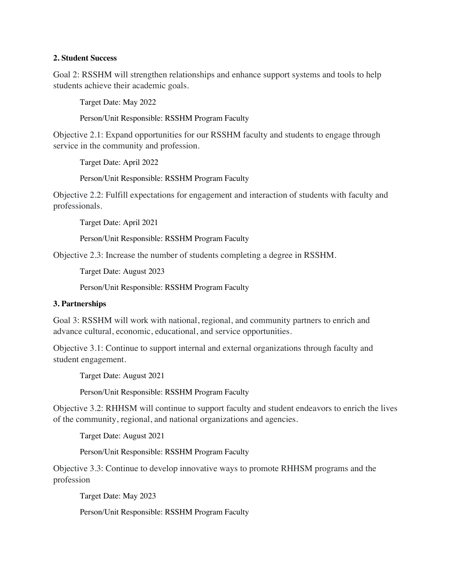### **2. Student Success**

Goal 2: RSSHM will strengthen relationships and enhance support systems and tools to help students achieve their academic goals.

Target Date: May 2022

Person/Unit Responsible: RSSHM Program Faculty

Objective 2.1: Expand opportunities for our RSSHM faculty and students to engage through service in the community and profession.

Target Date: April 2022

Person/Unit Responsible: RSSHM Program Faculty

Objective 2.2: Fulfill expectations for engagement and interaction of students with faculty and professionals.

Target Date: April 2021

Person/Unit Responsible: RSSHM Program Faculty

Objective 2.3: Increase the number of students completing a degree in RSSHM.

Target Date: August 2023

Person/Unit Responsible: RSSHM Program Faculty

# **3. Partnerships**

Goal 3: RSSHM will work with national, regional, and community partners to enrich and advance cultural, economic, educational, and service opportunities.

Objective 3.1: Continue to support internal and external organizations through faculty and student engagement.

Target Date: August 2021

Person/Unit Responsible: RSSHM Program Faculty

Objective 3.2: RHHSM will continue to support faculty and student endeavors to enrich the lives of the community, regional, and national organizations and agencies.

Target Date: August 2021

Person/Unit Responsible: RSSHM Program Faculty

Objective 3.3: Continue to develop innovative ways to promote RHHSM programs and the profession

Target Date: May 2023

Person/Unit Responsible: RSSHM Program Faculty